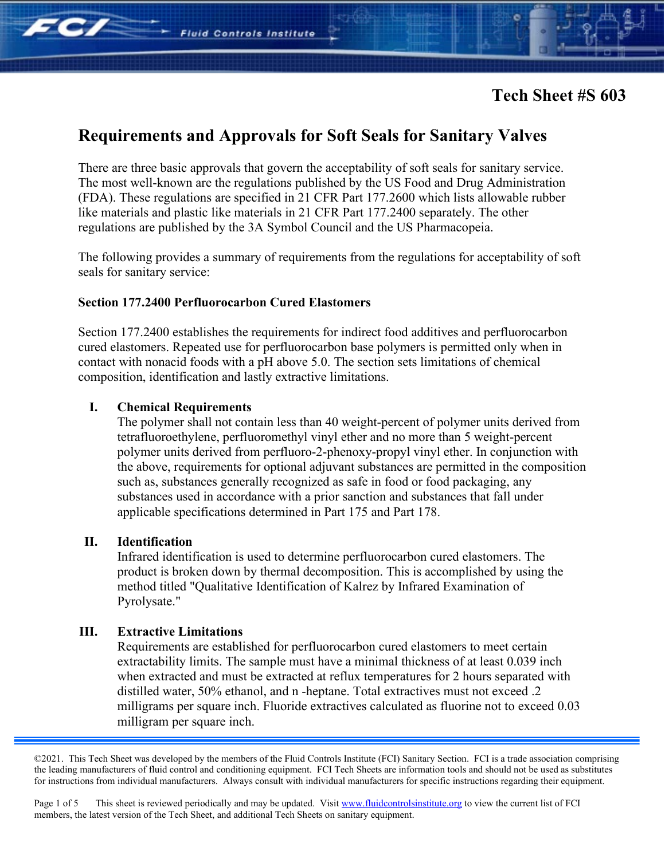There are three basic approvals that govern the acceptability of soft seals for sanitary service. The most well-known are the regulations published by the US Food and Drug Administration (FDA). These regulations are specified in 21 CFR Part 177.2600 which lists allowable rubber like materials and plastic like materials in 21 CFR Part 177.2400 separately. The other regulations are published by the 3A Symbol Council and the US Pharmacopeia.

The following provides a summary of requirements from the regulations for acceptability of soft seals for sanitary service:

## **Section 177.2400 Perfluorocarbon Cured Elastomers**

**Fluid Controls Institute** 

Section 177.2400 establishes the requirements for indirect food additives and perfluorocarbon cured elastomers. Repeated use for perfluorocarbon base polymers is permitted only when in contact with nonacid foods with a pH above 5.0. The section sets limitations of chemical composition, identification and lastly extractive limitations.

## **I. Chemical Requirements**

The polymer shall not contain less than 40 weight-percent of polymer units derived from tetrafluoroethylene, perfluoromethyl vinyl ether and no more than 5 weight-percent polymer units derived from perfluoro-2-phenoxy-propyl vinyl ether. In conjunction with the above, requirements for optional adjuvant substances are permitted in the composition such as, substances generally recognized as safe in food or food packaging, any substances used in accordance with a prior sanction and substances that fall under applicable specifications determined in Part 175 and Part 178.

## **II. Identification**

FC/

Infrared identification is used to determine perfluorocarbon cured elastomers. The product is broken down by thermal decomposition. This is accomplished by using the method titled "Qualitative Identification of Kalrez by Infrared Examination of Pyrolysate."

## **III. Extractive Limitations**

Requirements are established for perfluorocarbon cured elastomers to meet certain extractability limits. The sample must have a minimal thickness of at least 0.039 inch when extracted and must be extracted at reflux temperatures for 2 hours separated with distilled water, 50% ethanol, and n -heptane. Total extractives must not exceed .2 milligrams per square inch. Fluoride extractives calculated as fluorine not to exceed 0.03 milligram per square inch.

©2021. This Tech Sheet was developed by the members of the Fluid Controls Institute (FCI) Sanitary Section. FCI is a trade association comprising the leading manufacturers of fluid control and conditioning equipment. FCI Tech Sheets are information tools and should not be used as substitutes for instructions from individual manufacturers. Always consult with individual manufacturers for specific instructions regarding their equipment.

Page 1 of 5 This sheet is reviewed periodically and may be updated. Visi[t www.fluidcontrolsinstitute.org](http://www.fluidcontrolsinstitute.org/) to view the current list of FCI members, the latest version of the Tech Sheet, and additional Tech Sheets on sanitary equipment.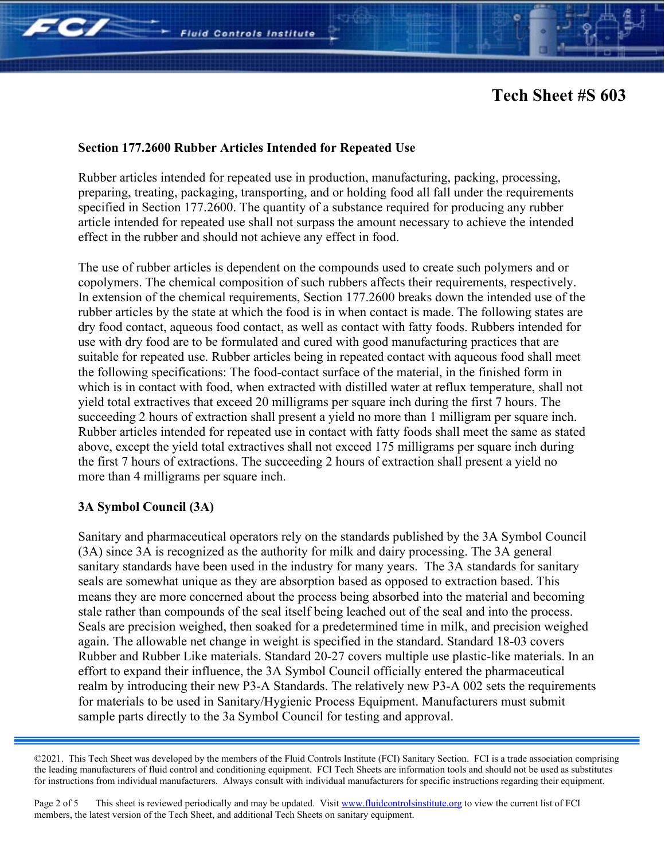

## **Section 177.2600 Rubber Articles Intended for Repeated Use**

Rubber articles intended for repeated use in production, manufacturing, packing, processing, preparing, treating, packaging, transporting, and or holding food all fall under the requirements specified in Section 177.2600. The quantity of a substance required for producing any rubber article intended for repeated use shall not surpass the amount necessary to achieve the intended effect in the rubber and should not achieve any effect in food.

The use of rubber articles is dependent on the compounds used to create such polymers and or copolymers. The chemical composition of such rubbers affects their requirements, respectively. In extension of the chemical requirements, Section 177.2600 breaks down the intended use of the rubber articles by the state at which the food is in when contact is made. The following states are dry food contact, aqueous food contact, as well as contact with fatty foods. Rubbers intended for use with dry food are to be formulated and cured with good manufacturing practices that are suitable for repeated use. Rubber articles being in repeated contact with aqueous food shall meet the following specifications: The food-contact surface of the material, in the finished form in which is in contact with food, when extracted with distilled water at reflux temperature, shall not yield total extractives that exceed 20 milligrams per square inch during the first 7 hours. The succeeding 2 hours of extraction shall present a yield no more than 1 milligram per square inch. Rubber articles intended for repeated use in contact with fatty foods shall meet the same as stated above, except the yield total extractives shall not exceed 175 milligrams per square inch during the first 7 hours of extractions. The succeeding 2 hours of extraction shall present a yield no more than 4 milligrams per square inch.

## **3A Symbol Council (3A)**

Sanitary and pharmaceutical operators rely on the standards published by the 3A Symbol Council (3A) since 3A is recognized as the authority for milk and dairy processing. The 3A general sanitary standards have been used in the industry for many years. The 3A standards for sanitary seals are somewhat unique as they are absorption based as opposed to extraction based. This means they are more concerned about the process being absorbed into the material and becoming stale rather than compounds of the seal itself being leached out of the seal and into the process. Seals are precision weighed, then soaked for a predetermined time in milk, and precision weighed again. The allowable net change in weight is specified in the standard. Standard 18-03 covers Rubber and Rubber Like materials. Standard 20-27 covers multiple use plastic-like materials. In an effort to expand their influence, the 3A Symbol Council officially entered the pharmaceutical realm by introducing their new P3-A Standards. The relatively new P3-A 002 sets the requirements for materials to be used in Sanitary/Hygienic Process Equipment. Manufacturers must submit sample parts directly to the 3a Symbol Council for testing and approval.

<sup>©2021.</sup> This Tech Sheet was developed by the members of the Fluid Controls Institute (FCI) Sanitary Section. FCI is a trade association comprising the leading manufacturers of fluid control and conditioning equipment. FCI Tech Sheets are information tools and should not be used as substitutes for instructions from individual manufacturers. Always consult with individual manufacturers for specific instructions regarding their equipment.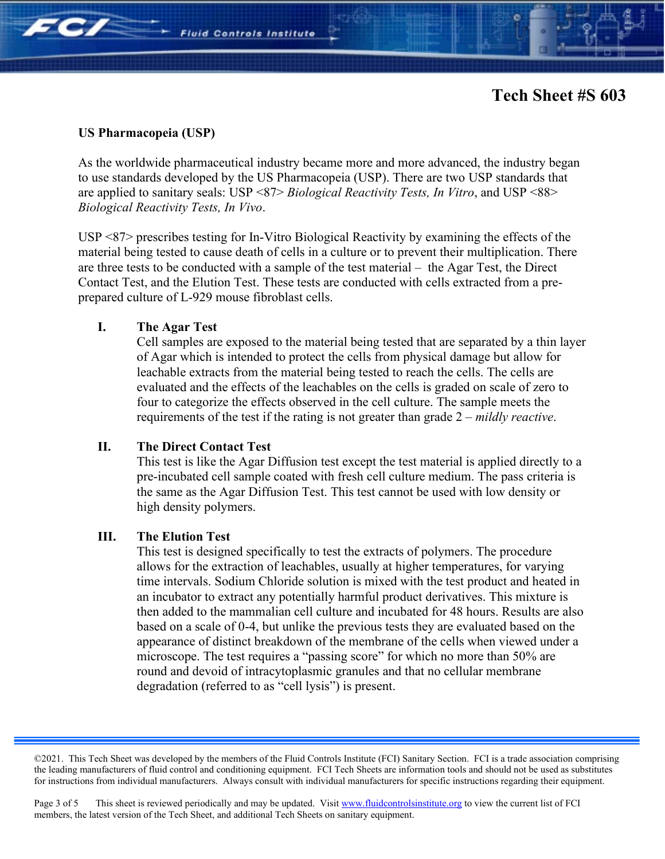#### **US Pharmacopeia (USP)**

FC/

As the worldwide pharmaceutical industry became more and more advanced, the industry began to use standards developed by the US Pharmacopeia (USP). There are two USP standards that are applied to sanitary seals: USP <87> *Biological Reactivity Tests, In Vitro*, and USP <88> *Biological Reactivity Tests, In Vivo*.

**Fluid Controls Institute** 

USP <87> prescribes testing for In-Vitro Biological Reactivity by examining the effects of the material being tested to cause death of cells in a culture or to prevent their multiplication. There are three tests to be conducted with a sample of the test material – the Agar Test, the Direct Contact Test, and the Elution Test. These tests are conducted with cells extracted from a preprepared culture of L-929 mouse fibroblast cells.

#### **I. The Agar Test**

Cell samples are exposed to the material being tested that are separated by a thin layer of Agar which is intended to protect the cells from physical damage but allow for leachable extracts from the material being tested to reach the cells. The cells are evaluated and the effects of the leachables on the cells is graded on scale of zero to four to categorize the effects observed in the cell culture. The sample meets the requirements of the test if the rating is not greater than grade 2 – *mildly reactive*.

## **II. The Direct Contact Test**

This test is like the Agar Diffusion test except the test material is applied directly to a pre-incubated cell sample coated with fresh cell culture medium. The pass criteria is the same as the Agar Diffusion Test. This test cannot be used with low density or high density polymers.

## **III. The Elution Test**

This test is designed specifically to test the extracts of polymers. The procedure allows for the extraction of leachables, usually at higher temperatures, for varying time intervals. Sodium Chloride solution is mixed with the test product and heated in an incubator to extract any potentially harmful product derivatives. This mixture is then added to the mammalian cell culture and incubated for 48 hours. Results are also based on a scale of 0-4, but unlike the previous tests they are evaluated based on the appearance of distinct breakdown of the membrane of the cells when viewed under a microscope. The test requires a "passing score" for which no more than 50% are round and devoid of intracytoplasmic granules and that no cellular membrane degradation (referred to as "cell lysis") is present.

<sup>©2021.</sup> This Tech Sheet was developed by the members of the Fluid Controls Institute (FCI) Sanitary Section. FCI is a trade association comprising the leading manufacturers of fluid control and conditioning equipment. FCI Tech Sheets are information tools and should not be used as substitutes for instructions from individual manufacturers. Always consult with individual manufacturers for specific instructions regarding their equipment.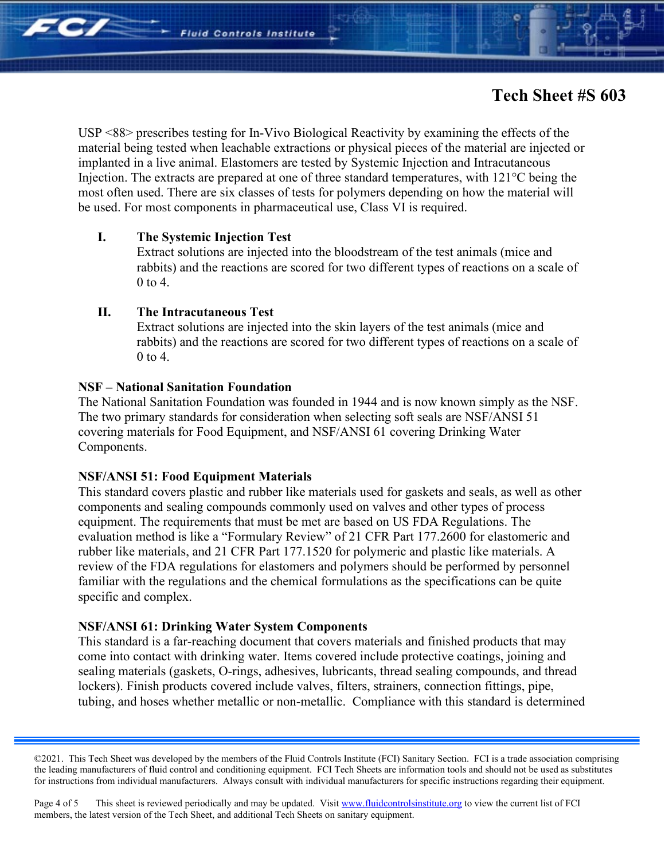

USP <88> prescribes testing for In-Vivo Biological Reactivity by examining the effects of the material being tested when leachable extractions or physical pieces of the material are injected or implanted in a live animal. Elastomers are tested by Systemic Injection and Intracutaneous Injection. The extracts are prepared at one of three standard temperatures, with 121°C being the most often used. There are six classes of tests for polymers depending on how the material will be used. For most components in pharmaceutical use, Class VI is required.

#### **I. The Systemic Injection Test**

**Fe/2** 

Extract solutions are injected into the bloodstream of the test animals (mice and rabbits) and the reactions are scored for two different types of reactions on a scale of 0 to 4.

#### **II. The Intracutaneous Test**

Extract solutions are injected into the skin layers of the test animals (mice and rabbits) and the reactions are scored for two different types of reactions on a scale of 0 to 4.

## **NSF – National Sanitation Foundation**

The National Sanitation Foundation was founded in 1944 and is now known simply as the NSF. The two primary standards for consideration when selecting soft seals are NSF/ANSI 51 covering materials for Food Equipment, and NSF/ANSI 61 covering Drinking Water Components.

## **NSF/ANSI 51: Food Equipment Materials**

This standard covers plastic and rubber like materials used for gaskets and seals, as well as other components and sealing compounds commonly used on valves and other types of process equipment. The requirements that must be met are based on US FDA Regulations. The evaluation method is like a "Formulary Review" of 21 CFR Part 177.2600 for elastomeric and rubber like materials, and 21 CFR Part 177.1520 for polymeric and plastic like materials. A review of the FDA regulations for elastomers and polymers should be performed by personnel familiar with the regulations and the chemical formulations as the specifications can be quite specific and complex.

#### **NSF/ANSI 61: Drinking Water System Components**

This standard is a far-reaching document that covers materials and finished products that may come into contact with drinking water. Items covered include protective coatings, joining and sealing materials (gaskets, O-rings, adhesives, lubricants, thread sealing compounds, and thread lockers). Finish products covered include valves, filters, strainers, connection fittings, pipe, tubing, and hoses whether metallic or non-metallic. Compliance with this standard is determined

<sup>©2021.</sup> This Tech Sheet was developed by the members of the Fluid Controls Institute (FCI) Sanitary Section. FCI is a trade association comprising the leading manufacturers of fluid control and conditioning equipment. FCI Tech Sheets are information tools and should not be used as substitutes for instructions from individual manufacturers. Always consult with individual manufacturers for specific instructions regarding their equipment.